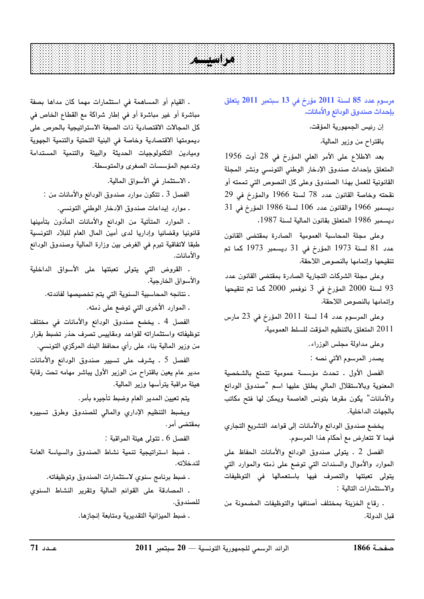## $\sim$   $\sim$

مرسوم عدد 85 لسنة 2011 مؤرخ في 13 سبتمبر 2011 يتعلق بإحداث صندوق الودائع والأمانات.

إن رئيس الجمهورية المؤقت،

باقتراح من وزير المالية،

بعد الاطلاع على الأمر العلى المؤرخ في 28 أوت 1956 المتعلق بإحداث صندوق الإدخار الوطنى التونسى ونشر المجلة القانونية للعمل بهذا الصندوق وعلى كل النصوص التي تممته أو نقحته وخاصة القانون عدد 78 لسنة 1966 والمؤرخ في 29 ديسمبر 1966 والقانون عدد 106 لسنة 1986 المؤرخ في 31 ديسمبر 1986 المتعلق بقانون المالية لسنة 1987.

وعلى مجلة المحاسبة العمومية الصادرة بمقتضى القانون عدد 81 لسنة 1973 المؤرخ في 31 ديسمبر 1973 كما تم تنقيحها وإتمامها بالنصوص اللاحقة،

وعلى مجلة الشركات التجارية الصادرة بمقتضى القانون عدد 93 لسنة 2000 المؤرخ في 3 نوفمبر 2000 كما تم تنقيحها وإتمامها بالنصوص اللاحقة،

وعلى المرسوم عدد 14 لسنة 2011 المؤرخ في 23 مارس 2011 المتعلق بالتنظيم المؤقت للسلط العمومية،

> وعلى مداولة مجلس الوزراء. يصدر المرسوم الآتي نصه :

الفصل الأول . تحدث مؤسسة عمومية تتمتع بالشخصية المعنوية وبالاستقلال المالى يطلق عليها اسم "صندوق الودائع والأمانات" يكون مقرها بتونس العاصمة ويمكن لها فتح مكاتب بالحهات الداخلية.

يخضع صندوق الودائع والأمانات إلى قواعد التشريع التجاري فيما لا تتعارض مع أحكام هذا المرسوم.

الفصل 2 . يتولى صندوق الودائع والأمانات الحفاظ على الموارد والأموال والسندات التى توضع على ذمته والموارد التى يتولى تعبئتها والتصرف فيها باستعمالها في التوظيفات والاستثمارات التالية :

. رقاع الخزينة بمختلف أصنافها والتوظيفات المضمونة من قبل الدولة.

. القيام أو المساهمة في استثمارات مهما كان مداها بصفة مباشرة أو غير مباشرة أو في إطار شراكة مع القطاع الخاص في كل المجالات الاقتصادية ذات الصبغة الاستراتيجية بالحرص على ديمومتها الاقتصادية وخاصة فى البنية التحتية والتنمية الجهوية وميادين التكنولوجيات الحديثة والبيئة والتنمية المستدامة وتدعيم المؤسسات الصغرى والمتوسطة.

ـ الاستثمار في الأسواق المالية.

الفصل 3 ـ تتكون موارد صندوق الودائع والأمانات من :

. موارد إيداعات صندوق الإدخار الوطني التونسي.

. الموارد المتأتية من الودائع والأمانات المأذون بتأمينها قانونيا وقضائيا وإداريا لدى أمين المال العام للبلاد التونسية طبقا لاتفاقية تبرم في الغرض بين وزارة المالية وصندوق الودائع ه الأمانات.

. القروض التى يتولى تعبئتها على الأسواق الداخلية والأسواق الخارجية.

. نتائجه المحاسبية السنوية التي يتم تخصيصها لفائدته.

. الموارد الأخرى التي توضع على ذمته.

الفصل 4 . يخضع صندوق الودائع والأمانات في مختلف توظيفاته واستثماراته لقواعد ومقاييس تصرف حذر تضبط بقرار من وزير المالية بناء على رأي محافظ البنك المركزي التونسي.

الفصل 5 ـ يشرف على تسيير صندوق الودائع والأمانات مدير عام يعين باقتراح من الوزير الأول يباشر مهامه تحت رقابة هيئة مراقبة يترأسها وزير المالية.

يتم تعيين المدير العام وضبط تأجيره بأمر.

ويضبط التنظيم الإداري والمالي للصندوق وطرق تسييره بمقتضى أمر.

الفصل 6 . تتولى هيئة المراقبة :

. ضبط استراتيجية تنمية نشاط الصندوق والسياسة العامة لتدخلاته.

ـ ضبط برنامج سنوى لاستثمارات الصندوق وتوظيفاته.

. المصادقة على القوائم المالية وتقرير النشاط السنوي للصندوق.

. ضبط الميزانية التقديرية ومتابعة إنجازها.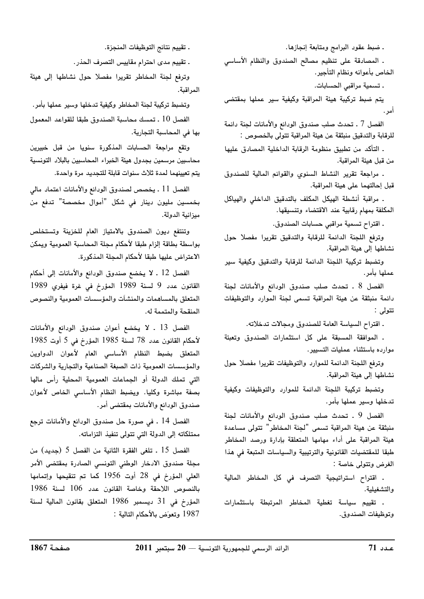. ضبط عقود البرامج ومتابعة إنجازها. . المصادقة على تنظيم مصالح الصندوق والنظام الأساسى الخاص بأعوانه ونظام التأجير. . تسمية مراقبي الحسابات. يتم ضبط تركيبة هيئة المراقبة وكيفية سير عملها بمقتضى أمر . الفصل 7 ـ تحدث صلب صندوق الودائع والأمانات لجنة دائمة للرقابة والتدقيق منبثقة عن هيئة المراقبة تتولى بالخصوص : . التأكد من تطبيق منظومة الرقابة الداخلية المصادق عليها

من قبل هيئة المراقبة.

. مراجعة تقرير النشاط السنوى والقوائم المالية للصندوق قبل إحالتهما على هيئة المراقبة.

. مراقبة أنشطة الهيكل المكلف بالتدقيق الداخلي والهياكل المكلفة بمهام رقابية عند الاقتضاء وتنسيقها.

ـ اقتراح تسمية مراقبي حسابات الصندوق.

وترفع اللجنة الدائمة للرقابة والتدقيق تقريرا مفصلا حول نشاطها إلى هيئة المراقبة.

وتضبط تركيبة اللجنة الدائمة للرقابة والتدقيق وكيفية سير عملها بأمر.

الفصل 8 . تحدث صلب صندوق الودائع والأمانات لجنة دائمة منبثقة عن هيئة المراقبة تسمى لجنة الموارد والتوظيفات تتولى :

ـ اقتراح السياسة العامة للصندوق ومجالات تدخلاته.

. الموافقة المسبقة على كل استثمارات الصندوق وتعبئة موارده باستثناء عمليات التسيير.

وترفع اللجنة الدائمة للموارد والتوظيفات تقريرا مفصلا حول نشاطها إلى هيئة المراقبة.

وتضبط تركيبة اللجنة الدائمة للموارد والتوظيفات وكيفية تدخلها وسير عملها بأمر.

الفصل 9 . تحدث صلب صندوق الودائع والأمانات لجنة منبثقة عن هيئة المراقبة تسمى "لجنة المخاطر" تتولى مساعدة هيئة المراقبة على أداء مهامها المتعلقة بإدارة ورصد المخاطر طبقا للمقتضيات القانونية والترتيبية والسياسات المتبعة فى هذا الغرض وتتولى خاصة :

. اقتراح استراتيجية التصرف في كل المخاطر المالية والتشغيلية.

. تقييم سياسة تغطية المخاطر المرتبطة باستثمارات وتوظيفات الصندوق.

. تقييم نتائج التوظيفات المنجزة.

. تقييم مدى احترام مقاييس التصرف الحذر.

وترفع لجنة المخاطر تقريرا مفصلا حول نشاطها إلى هيئة المراقبة.

وتضبط تركيبة لجنة المخاطر وكيفية تدخلها وسير عملها بأمر. الفصل 10 ـ تمسك محاسبة الصندوق طبقا للقواعد المعمول بها في المحاسبة التجارية.

وتقع مراجعة الحسابات المذكورة سنويا من قبل خبيرين محاسبين مرسمين بجدول هيئة الخبراء المحاسبين بالبلاد التونسية يتم تعيينهما لمدة ثلاث سنوات قابلة للتجديد مرة واحدة.

الفصل 11 ـ يخصص لصندوق الودائع والأمانات اعتماد مالى بخمسين مليون دينار في شكل "أموال مخصصة" تدفع من ميزانية الدولة.

وتنتفع ديون الصندوق بالامتياز العام للخزينة وتستخلص بواسطة بطاقة إلزام طبقا لأحكام مجلة المحاسبة العمومية ويمكن الاعتراض عليها طبقا لأحكام المجلة المذكورة.

الفصل 12 ـ لا يخضع صندوق الودائع والأمانات إلى أحكام القانون عدد 9 لسنة 1989 المؤرخ فى غرة فيفري 1989 المتعلق بالمساهمات والمنشآت والمؤسسات العمومية والنصوص المنقحة والمتممة له.

الفصل 13 ـ لا يخضع أعوان صندوق الودائع والأمانات لأحكام القانون عدد 78 لسنة 1985 المؤرخ في 5 أوت 1985 المتعلق بضبط النظام الأساسى العام لأعوان الدواوين والمؤسسات العمومية ذات الصبغة الصناعية والتجارية والشركات التى تملك الدولة أو الجماعات العمومية المحلية رأس مالها بصفة مباشرة وكليا. ويضبط النظام الأساسى الخاص لأعوان صندوق الودائع والأمانات بمقتضى أمر.

الفصل 14 . في صورة حل صندوق الودائع والأمانات ترجع ممتلكاته إلى الدولة التي تتولى تنفيذ التزاماته.

الفصل 15 . تلغى الفقرة الثانية من الفصل 5 (جديد) من مجلة صندوق الادخار الوطنى التونسى الصادرة بمقتضى الأمر العلى المؤرخ في 28 أوت 1956 كما تم تنقيحها وإتمامها بالنصوص اللاحقة وخاصة القانون عدد 106 لسنة 1986 المؤرخ في 31 ديسمبر 1986 المتعلق بقانون المالية لسنة 1987 وتعوّض بالأحكام التالية :